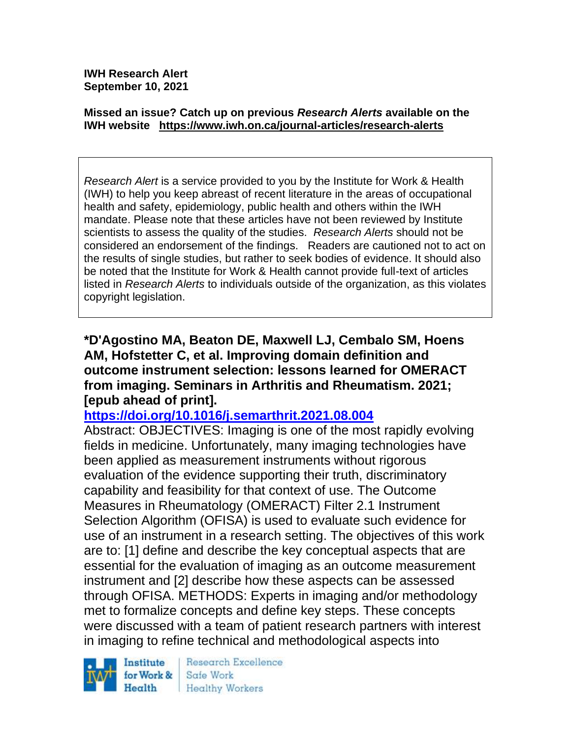**IWH Research Alert September 10, 2021**

#### **Missed an issue? Catch up on previous** *Research Alerts* **available on the [IWH website](http://www.iwh.on.ca/research-alerts) <https://www.iwh.on.ca/journal-articles/research-alerts>**

*Research Alert* is a service provided to you by the Institute for Work & Health (IWH) to help you keep abreast of recent literature in the areas of occupational health and safety, epidemiology, public health and others within the IWH mandate. Please note that these articles have not been reviewed by Institute scientists to assess the quality of the studies. *Research Alerts* should not be considered an endorsement of the findings. Readers are cautioned not to act on the results of single studies, but rather to seek bodies of evidence. It should also be noted that the Institute for Work & Health cannot provide full-text of articles listed in *Research Alerts* to individuals outside of the organization, as this violates copyright legislation.

**\*D'Agostino MA, Beaton DE, Maxwell LJ, Cembalo SM, Hoens AM, Hofstetter C, et al. Improving domain definition and outcome instrument selection: lessons learned for OMERACT from imaging. Seminars in Arthritis and Rheumatism. 2021; [epub ahead of print].**

#### **<https://doi.org/10.1016/j.semarthrit.2021.08.004>**

Abstract: OBJECTIVES: Imaging is one of the most rapidly evolving fields in medicine. Unfortunately, many imaging technologies have been applied as measurement instruments without rigorous evaluation of the evidence supporting their truth, discriminatory capability and feasibility for that context of use. The Outcome Measures in Rheumatology (OMERACT) Filter 2.1 Instrument Selection Algorithm (OFISA) is used to evaluate such evidence for use of an instrument in a research setting. The objectives of this work are to: [1] define and describe the key conceptual aspects that are essential for the evaluation of imaging as an outcome measurement instrument and [2] describe how these aspects can be assessed through OFISA. METHODS: Experts in imaging and/or methodology met to formalize concepts and define key steps. These concepts were discussed with a team of patient research partners with interest in imaging to refine technical and methodological aspects into



Research Excellence Safe Work **Healthy Workers**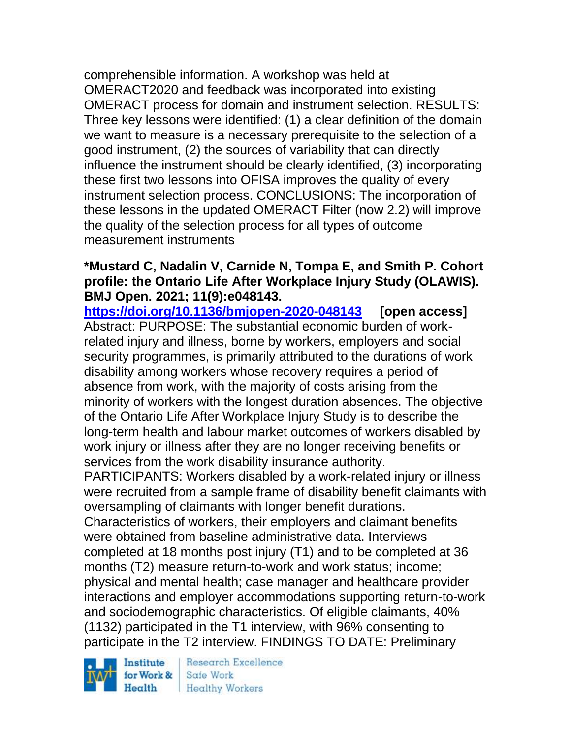comprehensible information. A workshop was held at OMERACT2020 and feedback was incorporated into existing OMERACT process for domain and instrument selection. RESULTS: Three key lessons were identified: (1) a clear definition of the domain we want to measure is a necessary prerequisite to the selection of a good instrument, (2) the sources of variability that can directly influence the instrument should be clearly identified, (3) incorporating these first two lessons into OFISA improves the quality of every instrument selection process. CONCLUSIONS: The incorporation of these lessons in the updated OMERACT Filter (now 2.2) will improve the quality of the selection process for all types of outcome measurement instruments

### **\*Mustard C, Nadalin V, Carnide N, Tompa E, and Smith P. Cohort profile: the Ontario Life After Workplace Injury Study (OLAWIS). BMJ Open. 2021; 11(9):e048143.**

**<https://doi.org/10.1136/bmjopen-2020-048143> [open access]** Abstract: PURPOSE: The substantial economic burden of workrelated injury and illness, borne by workers, employers and social security programmes, is primarily attributed to the durations of work disability among workers whose recovery requires a period of absence from work, with the majority of costs arising from the minority of workers with the longest duration absences. The objective of the Ontario Life After Workplace Injury Study is to describe the long-term health and labour market outcomes of workers disabled by work injury or illness after they are no longer receiving benefits or services from the work disability insurance authority.

PARTICIPANTS: Workers disabled by a work-related injury or illness were recruited from a sample frame of disability benefit claimants with oversampling of claimants with longer benefit durations.

Characteristics of workers, their employers and claimant benefits were obtained from baseline administrative data. Interviews completed at 18 months post injury (T1) and to be completed at 36 months (T2) measure return-to-work and work status; income; physical and mental health; case manager and healthcare provider interactions and employer accommodations supporting return-to-work and sociodemographic characteristics. Of eligible claimants, 40% (1132) participated in the T1 interview, with 96% consenting to participate in the T2 interview. FINDINGS TO DATE: Preliminary

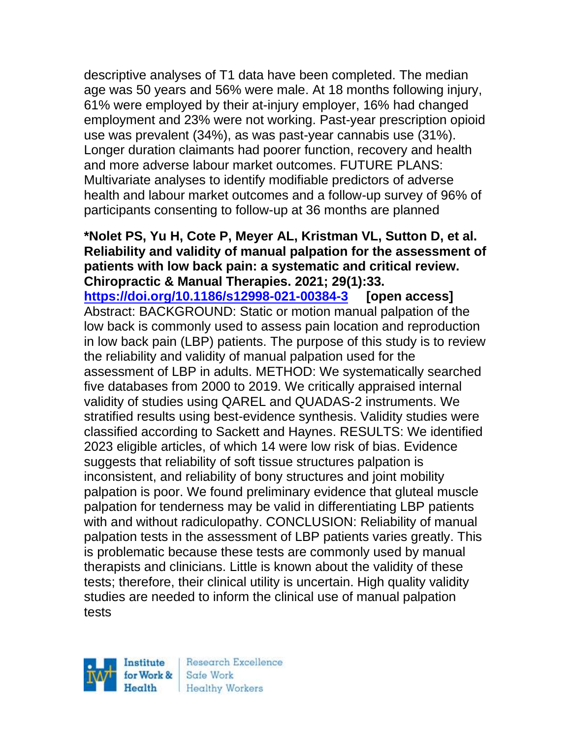descriptive analyses of T1 data have been completed. The median age was 50 years and 56% were male. At 18 months following injury, 61% were employed by their at-injury employer, 16% had changed employment and 23% were not working. Past-year prescription opioid use was prevalent (34%), as was past-year cannabis use (31%). Longer duration claimants had poorer function, recovery and health and more adverse labour market outcomes. FUTURE PLANS: Multivariate analyses to identify modifiable predictors of adverse health and labour market outcomes and a follow-up survey of 96% of participants consenting to follow-up at 36 months are planned

**\*Nolet PS, Yu H, Cote P, Meyer AL, Kristman VL, Sutton D, et al. Reliability and validity of manual palpation for the assessment of patients with low back pain: a systematic and critical review. Chiropractic & Manual Therapies. 2021; 29(1):33. <https://doi.org/10.1186/s12998-021-00384-3> [open access]** Abstract: BACKGROUND: Static or motion manual palpation of the low back is commonly used to assess pain location and reproduction in low back pain (LBP) patients. The purpose of this study is to review the reliability and validity of manual palpation used for the assessment of LBP in adults. METHOD: We systematically searched five databases from 2000 to 2019. We critically appraised internal validity of studies using QAREL and QUADAS-2 instruments. We stratified results using best-evidence synthesis. Validity studies were classified according to Sackett and Haynes. RESULTS: We identified 2023 eligible articles, of which 14 were low risk of bias. Evidence suggests that reliability of soft tissue structures palpation is inconsistent, and reliability of bony structures and joint mobility palpation is poor. We found preliminary evidence that gluteal muscle palpation for tenderness may be valid in differentiating LBP patients with and without radiculopathy. CONCLUSION: Reliability of manual palpation tests in the assessment of LBP patients varies greatly. This is problematic because these tests are commonly used by manual therapists and clinicians. Little is known about the validity of these tests; therefore, their clinical utility is uncertain. High quality validity studies are needed to inform the clinical use of manual palpation tests

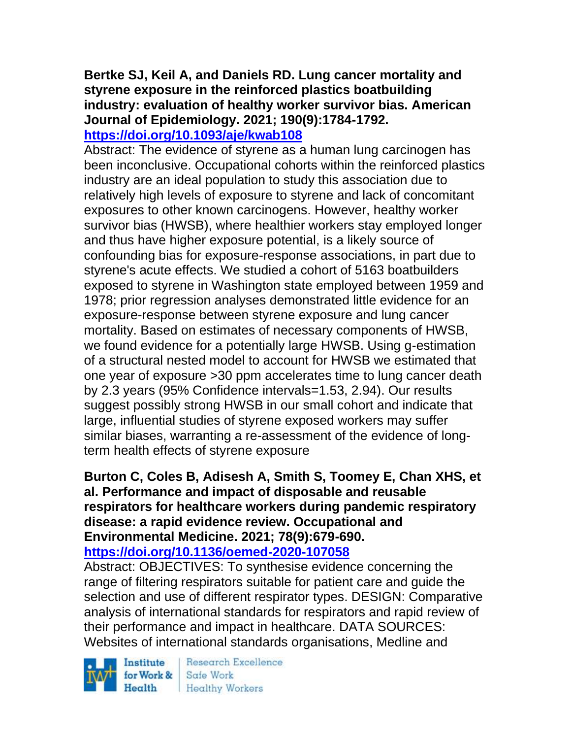# **Bertke SJ, Keil A, and Daniels RD. Lung cancer mortality and styrene exposure in the reinforced plastics boatbuilding industry: evaluation of healthy worker survivor bias. American Journal of Epidemiology. 2021; 190(9):1784-1792.**

#### **<https://doi.org/10.1093/aje/kwab108>**

Abstract: The evidence of styrene as a human lung carcinogen has been inconclusive. Occupational cohorts within the reinforced plastics industry are an ideal population to study this association due to relatively high levels of exposure to styrene and lack of concomitant exposures to other known carcinogens. However, healthy worker survivor bias (HWSB), where healthier workers stay employed longer and thus have higher exposure potential, is a likely source of confounding bias for exposure-response associations, in part due to styrene's acute effects. We studied a cohort of 5163 boatbuilders exposed to styrene in Washington state employed between 1959 and 1978; prior regression analyses demonstrated little evidence for an exposure-response between styrene exposure and lung cancer mortality. Based on estimates of necessary components of HWSB, we found evidence for a potentially large HWSB. Using g-estimation of a structural nested model to account for HWSB we estimated that one year of exposure >30 ppm accelerates time to lung cancer death by 2.3 years (95% Confidence intervals=1.53, 2.94). Our results suggest possibly strong HWSB in our small cohort and indicate that large, influential studies of styrene exposed workers may suffer similar biases, warranting a re-assessment of the evidence of longterm health effects of styrene exposure

# **Burton C, Coles B, Adisesh A, Smith S, Toomey E, Chan XHS, et al. Performance and impact of disposable and reusable respirators for healthcare workers during pandemic respiratory disease: a rapid evidence review. Occupational and Environmental Medicine. 2021; 78(9):679-690.**

**<https://doi.org/10.1136/oemed-2020-107058>** 

Abstract: OBJECTIVES: To synthesise evidence concerning the range of filtering respirators suitable for patient care and guide the selection and use of different respirator types. DESIGN: Comparative analysis of international standards for respirators and rapid review of their performance and impact in healthcare. DATA SOURCES: Websites of international standards organisations, Medline and

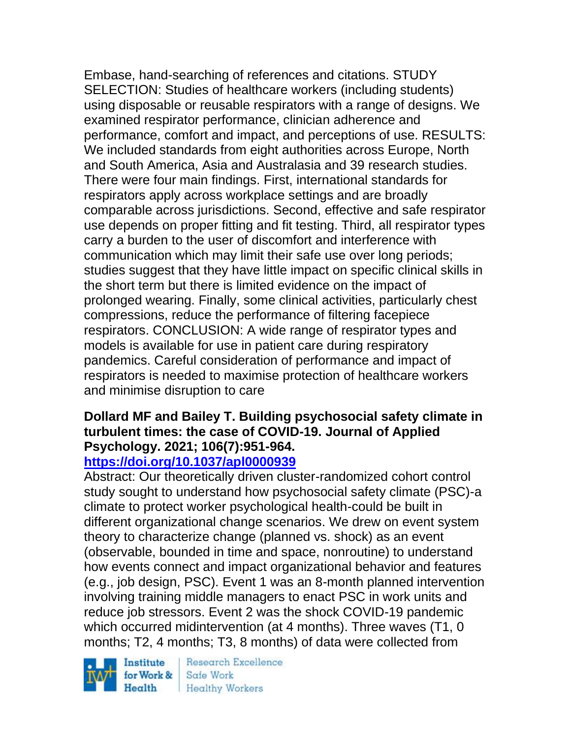Embase, hand-searching of references and citations. STUDY SELECTION: Studies of healthcare workers (including students) using disposable or reusable respirators with a range of designs. We examined respirator performance, clinician adherence and performance, comfort and impact, and perceptions of use. RESULTS: We included standards from eight authorities across Europe, North and South America, Asia and Australasia and 39 research studies. There were four main findings. First, international standards for respirators apply across workplace settings and are broadly comparable across jurisdictions. Second, effective and safe respirator use depends on proper fitting and fit testing. Third, all respirator types carry a burden to the user of discomfort and interference with communication which may limit their safe use over long periods; studies suggest that they have little impact on specific clinical skills in the short term but there is limited evidence on the impact of prolonged wearing. Finally, some clinical activities, particularly chest compressions, reduce the performance of filtering facepiece respirators. CONCLUSION: A wide range of respirator types and models is available for use in patient care during respiratory pandemics. Careful consideration of performance and impact of respirators is needed to maximise protection of healthcare workers and minimise disruption to care

#### **Dollard MF and Bailey T. Building psychosocial safety climate in turbulent times: the case of COVID-19. Journal of Applied Psychology. 2021; 106(7):951-964. <https://doi.org/10.1037/apl0000939>**

# Abstract: Our theoretically driven cluster-randomized cohort control

study sought to understand how psychosocial safety climate (PSC)-a climate to protect worker psychological health-could be built in different organizational change scenarios. We drew on event system theory to characterize change (planned vs. shock) as an event (observable, bounded in time and space, nonroutine) to understand how events connect and impact organizational behavior and features (e.g., job design, PSC). Event 1 was an 8-month planned intervention involving training middle managers to enact PSC in work units and reduce job stressors. Event 2 was the shock COVID-19 pandemic which occurred midintervention (at 4 months). Three waves (T1, 0 months; T2, 4 months; T3, 8 months) of data were collected from

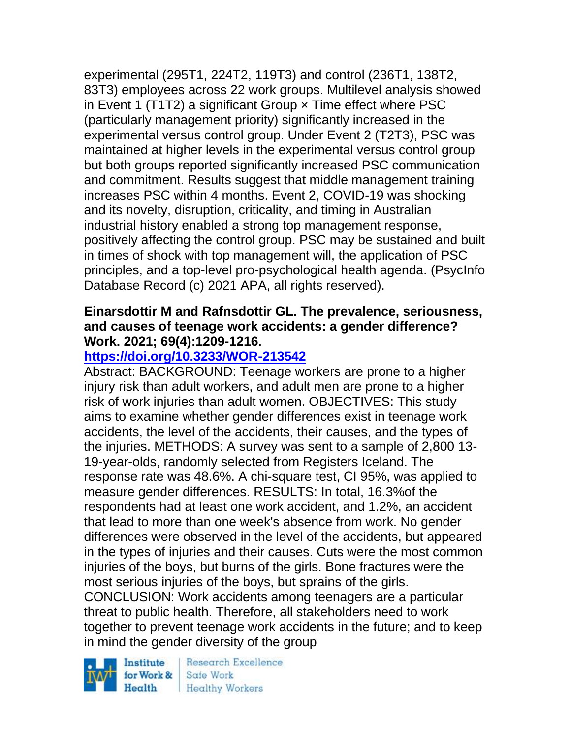experimental (295T1, 224T2, 119T3) and control (236T1, 138T2, 83T3) employees across 22 work groups. Multilevel analysis showed in Event 1 (T1T2) a significant Group  $\times$  Time effect where PSC (particularly management priority) significantly increased in the experimental versus control group. Under Event 2 (T2T3), PSC was maintained at higher levels in the experimental versus control group but both groups reported significantly increased PSC communication and commitment. Results suggest that middle management training increases PSC within 4 months. Event 2, COVID-19 was shocking and its novelty, disruption, criticality, and timing in Australian industrial history enabled a strong top management response, positively affecting the control group. PSC may be sustained and built in times of shock with top management will, the application of PSC principles, and a top-level pro-psychological health agenda. (PsycInfo Database Record (c) 2021 APA, all rights reserved).

### **Einarsdottir M and Rafnsdottir GL. The prevalence, seriousness, and causes of teenage work accidents: a gender difference? Work. 2021; 69(4):1209-1216.**

# **<https://doi.org/10.3233/WOR-213542>**

Abstract: BACKGROUND: Teenage workers are prone to a higher injury risk than adult workers, and adult men are prone to a higher risk of work injuries than adult women. OBJECTIVES: This study aims to examine whether gender differences exist in teenage work accidents, the level of the accidents, their causes, and the types of the injuries. METHODS: A survey was sent to a sample of 2,800 13- 19-year-olds, randomly selected from Registers Iceland. The response rate was 48.6%. A chi-square test, CI 95%, was applied to measure gender differences. RESULTS: In total, 16.3%of the respondents had at least one work accident, and 1.2%, an accident that lead to more than one week's absence from work. No gender differences were observed in the level of the accidents, but appeared in the types of injuries and their causes. Cuts were the most common injuries of the boys, but burns of the girls. Bone fractures were the most serious injuries of the boys, but sprains of the girls. CONCLUSION: Work accidents among teenagers are a particular threat to public health. Therefore, all stakeholders need to work together to prevent teenage work accidents in the future; and to keep in mind the gender diversity of the group

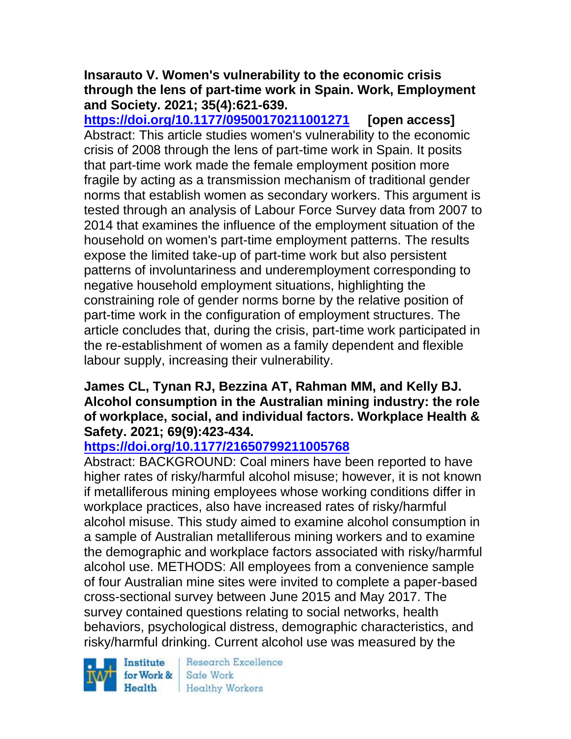#### **Insarauto V. Women's vulnerability to the economic crisis through the lens of part-time work in Spain. Work, Employment and Society. 2021; 35(4):621-639.**

**<https://doi.org/10.1177/09500170211001271> [open access]** Abstract: This article studies women's vulnerability to the economic crisis of 2008 through the lens of part-time work in Spain. It posits that part-time work made the female employment position more fragile by acting as a transmission mechanism of traditional gender norms that establish women as secondary workers. This argument is tested through an analysis of Labour Force Survey data from 2007 to 2014 that examines the influence of the employment situation of the household on women's part-time employment patterns. The results expose the limited take-up of part-time work but also persistent patterns of involuntariness and underemployment corresponding to negative household employment situations, highlighting the constraining role of gender norms borne by the relative position of part-time work in the configuration of employment structures. The article concludes that, during the crisis, part-time work participated in the re-establishment of women as a family dependent and flexible labour supply, increasing their vulnerability.

#### **James CL, Tynan RJ, Bezzina AT, Rahman MM, and Kelly BJ. Alcohol consumption in the Australian mining industry: the role of workplace, social, and individual factors. Workplace Health & Safety. 2021; 69(9):423-434.**

# **<https://doi.org/10.1177/21650799211005768>**

Abstract: BACKGROUND: Coal miners have been reported to have higher rates of risky/harmful alcohol misuse; however, it is not known if metalliferous mining employees whose working conditions differ in workplace practices, also have increased rates of risky/harmful alcohol misuse. This study aimed to examine alcohol consumption in a sample of Australian metalliferous mining workers and to examine the demographic and workplace factors associated with risky/harmful alcohol use. METHODS: All employees from a convenience sample of four Australian mine sites were invited to complete a paper-based cross-sectional survey between June 2015 and May 2017. The survey contained questions relating to social networks, health behaviors, psychological distress, demographic characteristics, and risky/harmful drinking. Current alcohol use was measured by the

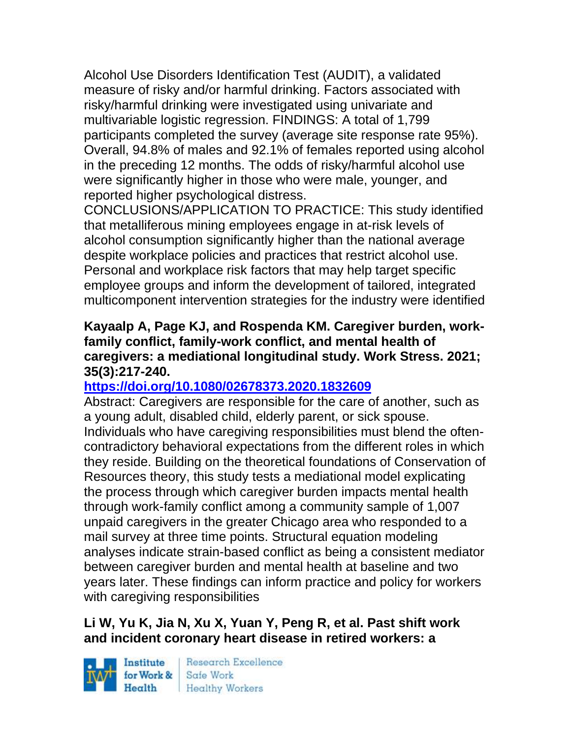Alcohol Use Disorders Identification Test (AUDIT), a validated measure of risky and/or harmful drinking. Factors associated with risky/harmful drinking were investigated using univariate and multivariable logistic regression. FINDINGS: A total of 1,799 participants completed the survey (average site response rate 95%). Overall, 94.8% of males and 92.1% of females reported using alcohol in the preceding 12 months. The odds of risky/harmful alcohol use were significantly higher in those who were male, younger, and reported higher psychological distress.

CONCLUSIONS/APPLICATION TO PRACTICE: This study identified that metalliferous mining employees engage in at-risk levels of alcohol consumption significantly higher than the national average despite workplace policies and practices that restrict alcohol use. Personal and workplace risk factors that may help target specific employee groups and inform the development of tailored, integrated multicomponent intervention strategies for the industry were identified

#### **Kayaalp A, Page KJ, and Rospenda KM. Caregiver burden, workfamily conflict, family-work conflict, and mental health of caregivers: a mediational longitudinal study. Work Stress. 2021; 35(3):217-240.**

# **<https://doi.org/10.1080/02678373.2020.1832609>**

Abstract: Caregivers are responsible for the care of another, such as a young adult, disabled child, elderly parent, or sick spouse. Individuals who have caregiving responsibilities must blend the oftencontradictory behavioral expectations from the different roles in which they reside. Building on the theoretical foundations of Conservation of Resources theory, this study tests a mediational model explicating the process through which caregiver burden impacts mental health through work-family conflict among a community sample of 1,007 unpaid caregivers in the greater Chicago area who responded to a mail survey at three time points. Structural equation modeling analyses indicate strain-based conflict as being a consistent mediator between caregiver burden and mental health at baseline and two years later. These findings can inform practice and policy for workers with caregiving responsibilities

# **Li W, Yu K, Jia N, Xu X, Yuan Y, Peng R, et al. Past shift work and incident coronary heart disease in retired workers: a**

Institute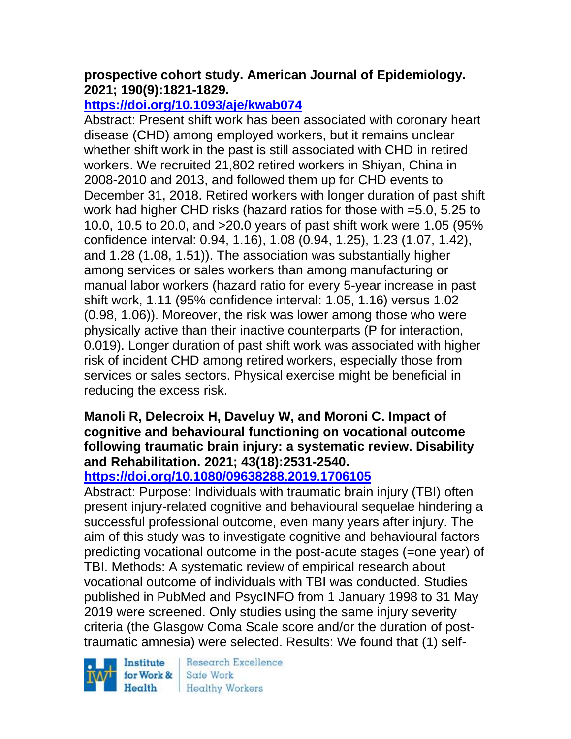### **prospective cohort study. American Journal of Epidemiology. 2021; 190(9):1821-1829.**

# **<https://doi.org/10.1093/aje/kwab074>**

Abstract: Present shift work has been associated with coronary heart disease (CHD) among employed workers, but it remains unclear whether shift work in the past is still associated with CHD in retired workers. We recruited 21,802 retired workers in Shiyan, China in 2008-2010 and 2013, and followed them up for CHD events to December 31, 2018. Retired workers with longer duration of past shift work had higher CHD risks (hazard ratios for those with =5.0, 5.25 to 10.0, 10.5 to 20.0, and >20.0 years of past shift work were 1.05 (95% confidence interval: 0.94, 1.16), 1.08 (0.94, 1.25), 1.23 (1.07, 1.42), and 1.28 (1.08, 1.51)). The association was substantially higher among services or sales workers than among manufacturing or manual labor workers (hazard ratio for every 5-year increase in past shift work, 1.11 (95% confidence interval: 1.05, 1.16) versus 1.02 (0.98, 1.06)). Moreover, the risk was lower among those who were physically active than their inactive counterparts (P for interaction, 0.019). Longer duration of past shift work was associated with higher risk of incident CHD among retired workers, especially those from services or sales sectors. Physical exercise might be beneficial in reducing the excess risk.

#### **Manoli R, Delecroix H, Daveluy W, and Moroni C. Impact of cognitive and behavioural functioning on vocational outcome following traumatic brain injury: a systematic review. Disability and Rehabilitation. 2021; 43(18):2531-2540.**

**<https://doi.org/10.1080/09638288.2019.1706105>** 

Abstract: Purpose: Individuals with traumatic brain injury (TBI) often present injury-related cognitive and behavioural sequelae hindering a successful professional outcome, even many years after injury. The aim of this study was to investigate cognitive and behavioural factors predicting vocational outcome in the post-acute stages (=one year) of TBI. Methods: A systematic review of empirical research about vocational outcome of individuals with TBI was conducted. Studies published in PubMed and PsycINFO from 1 January 1998 to 31 May 2019 were screened. Only studies using the same injury severity criteria (the Glasgow Coma Scale score and/or the duration of posttraumatic amnesia) were selected. Results: We found that (1) self-

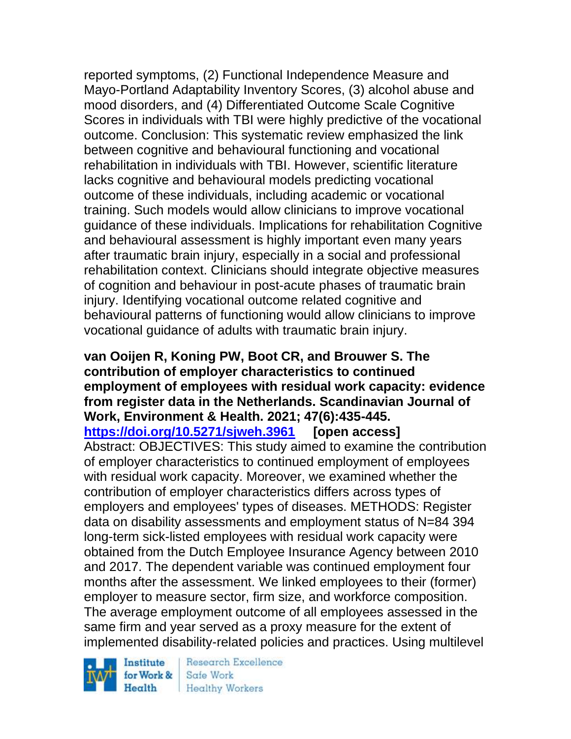reported symptoms, (2) Functional Independence Measure and Mayo-Portland Adaptability Inventory Scores, (3) alcohol abuse and mood disorders, and (4) Differentiated Outcome Scale Cognitive Scores in individuals with TBI were highly predictive of the vocational outcome. Conclusion: This systematic review emphasized the link between cognitive and behavioural functioning and vocational rehabilitation in individuals with TBI. However, scientific literature lacks cognitive and behavioural models predicting vocational outcome of these individuals, including academic or vocational training. Such models would allow clinicians to improve vocational guidance of these individuals. Implications for rehabilitation Cognitive and behavioural assessment is highly important even many years after traumatic brain injury, especially in a social and professional rehabilitation context. Clinicians should integrate objective measures of cognition and behaviour in post-acute phases of traumatic brain injury. Identifying vocational outcome related cognitive and behavioural patterns of functioning would allow clinicians to improve vocational guidance of adults with traumatic brain injury.

#### **van Ooijen R, Koning PW, Boot CR, and Brouwer S. The contribution of employer characteristics to continued employment of employees with residual work capacity: evidence from register data in the Netherlands. Scandinavian Journal of Work, Environment & Health. 2021; 47(6):435-445. <https://doi.org/10.5271/sjweh.3961> [open access]**

Abstract: OBJECTIVES: This study aimed to examine the contribution of employer characteristics to continued employment of employees with residual work capacity. Moreover, we examined whether the contribution of employer characteristics differs across types of employers and employees' types of diseases. METHODS: Register data on disability assessments and employment status of N=84 394 long-term sick-listed employees with residual work capacity were obtained from the Dutch Employee Insurance Agency between 2010 and 2017. The dependent variable was continued employment four months after the assessment. We linked employees to their (former) employer to measure sector, firm size, and workforce composition. The average employment outcome of all employees assessed in the same firm and year served as a proxy measure for the extent of implemented disability-related policies and practices. Using multilevel

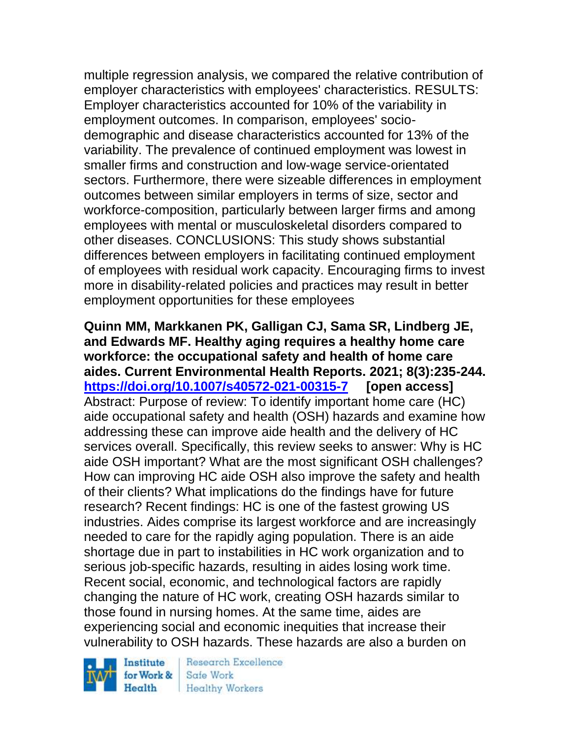multiple regression analysis, we compared the relative contribution of employer characteristics with employees' characteristics. RESULTS: Employer characteristics accounted for 10% of the variability in employment outcomes. In comparison, employees' sociodemographic and disease characteristics accounted for 13% of the variability. The prevalence of continued employment was lowest in smaller firms and construction and low-wage service-orientated sectors. Furthermore, there were sizeable differences in employment outcomes between similar employers in terms of size, sector and workforce-composition, particularly between larger firms and among employees with mental or musculoskeletal disorders compared to other diseases. CONCLUSIONS: This study shows substantial differences between employers in facilitating continued employment of employees with residual work capacity. Encouraging firms to invest more in disability-related policies and practices may result in better employment opportunities for these employees

**Quinn MM, Markkanen PK, Galligan CJ, Sama SR, Lindberg JE, and Edwards MF. Healthy aging requires a healthy home care workforce: the occupational safety and health of home care aides. Current Environmental Health Reports. 2021; 8(3):235-244. <https://doi.org/10.1007/s40572-021-00315-7> [open access]** Abstract: Purpose of review: To identify important home care (HC) aide occupational safety and health (OSH) hazards and examine how addressing these can improve aide health and the delivery of HC services overall. Specifically, this review seeks to answer: Why is HC aide OSH important? What are the most significant OSH challenges? How can improving HC aide OSH also improve the safety and health of their clients? What implications do the findings have for future research? Recent findings: HC is one of the fastest growing US industries. Aides comprise its largest workforce and are increasingly needed to care for the rapidly aging population. There is an aide shortage due in part to instabilities in HC work organization and to serious job-specific hazards, resulting in aides losing work time. Recent social, economic, and technological factors are rapidly changing the nature of HC work, creating OSH hazards similar to those found in nursing homes. At the same time, aides are experiencing social and economic inequities that increase their vulnerability to OSH hazards. These hazards are also a burden on

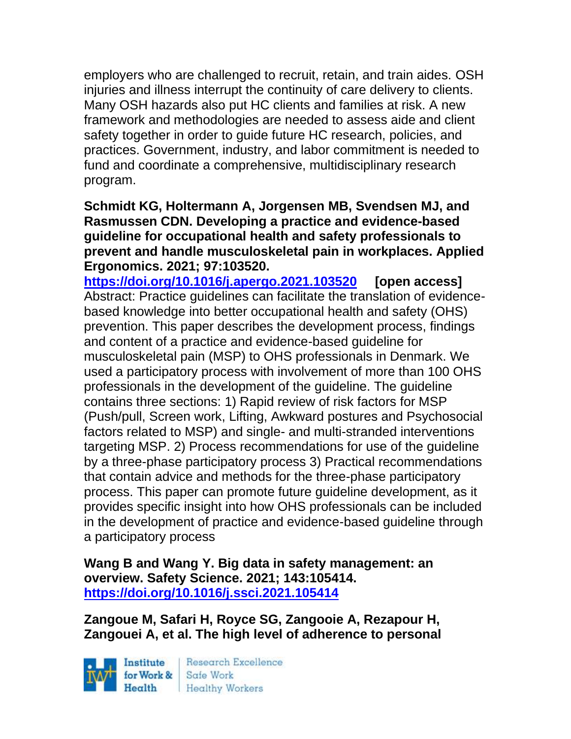employers who are challenged to recruit, retain, and train aides. OSH injuries and illness interrupt the continuity of care delivery to clients. Many OSH hazards also put HC clients and families at risk. A new framework and methodologies are needed to assess aide and client safety together in order to guide future HC research, policies, and practices. Government, industry, and labor commitment is needed to fund and coordinate a comprehensive, multidisciplinary research program.

**Schmidt KG, Holtermann A, Jorgensen MB, Svendsen MJ, and Rasmussen CDN. Developing a practice and evidence-based guideline for occupational health and safety professionals to prevent and handle musculoskeletal pain in workplaces. Applied Ergonomics. 2021; 97:103520.**

**<https://doi.org/10.1016/j.apergo.2021.103520> [open access]** Abstract: Practice guidelines can facilitate the translation of evidencebased knowledge into better occupational health and safety (OHS) prevention. This paper describes the development process, findings and content of a practice and evidence-based guideline for musculoskeletal pain (MSP) to OHS professionals in Denmark. We used a participatory process with involvement of more than 100 OHS professionals in the development of the guideline. The guideline contains three sections: 1) Rapid review of risk factors for MSP (Push/pull, Screen work, Lifting, Awkward postures and Psychosocial factors related to MSP) and single- and multi-stranded interventions targeting MSP. 2) Process recommendations for use of the guideline by a three-phase participatory process 3) Practical recommendations that contain advice and methods for the three-phase participatory process. This paper can promote future guideline development, as it provides specific insight into how OHS professionals can be included in the development of practice and evidence-based guideline through a participatory process

**Wang B and Wang Y. Big data in safety management: an overview. Safety Science. 2021; 143:105414. <https://doi.org/10.1016/j.ssci.2021.105414>** 

**Zangoue M, Safari H, Royce SG, Zangooie A, Rezapour H, Zangouei A, et al. The high level of adherence to personal** 

Institute Health